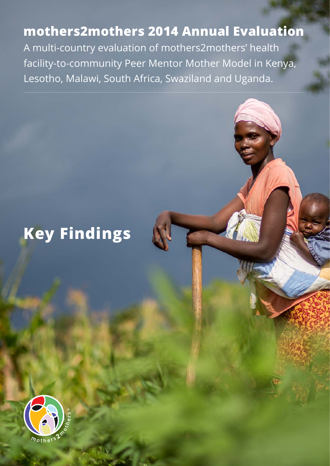# **mothers2mothers 2014 Annual Evaluation**

A multi-country evaluation of mothers2mothers' health facility-to-community Peer Mentor Mother Model in Kenya, Lesotho, Malawi, South Africa, Swaziland and Uganda.

# **Key Findings**



*Summary of Key Findings | 2014 mothers2mothers Annual Evaluation*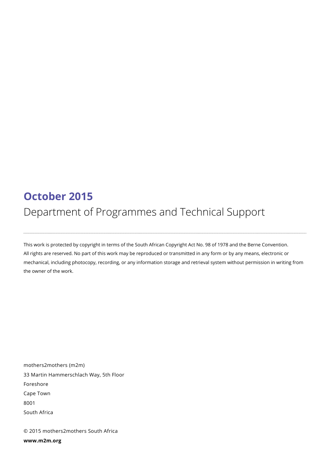# **October 2015** Department of Programmes and Technical Support

This work is protected by copyright in terms of the South African Copyright Act No. 98 of 1978 and the Berne Convention. All rights are reserved. No part of this work may be reproduced or transmitted in any form or by any means, electronic or mechanical, including photocopy, recording, or any information storage and retrieval system without permission in writing from the owner of the work.

mothers2mothers (m2m) 33 Martin Hammerschlach Way, 5th Floor Foreshore Cape Town 8001 South Africa

© 2015 mothers2mothers South Africa **www.m2m.org**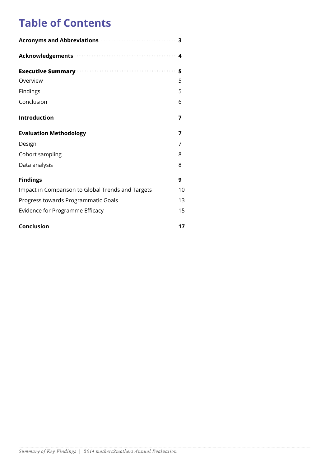# **Table of Contents**

| Executive Summary manufacture and 5               |    |
|---------------------------------------------------|----|
| Overview                                          | 5  |
| Findings                                          | 5  |
| Conclusion                                        | 6  |
| <b>Introduction</b>                               | 7  |
| <b>Evaluation Methodology</b>                     | 7  |
| Design                                            | 7  |
| Cohort sampling                                   | 8  |
| Data analysis                                     | 8  |
| <b>Findings</b>                                   | 9  |
| Impact in Comparison to Global Trends and Targets | 10 |
| Progress towards Programmatic Goals               | 13 |
| Evidence for Programme Efficacy                   | 15 |
| <b>Conclusion</b>                                 | 17 |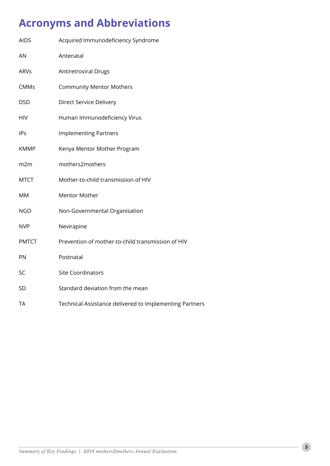# **Acronyms and Abbreviations**

| <b>AIDS</b>     | Acquired Immunodeficiency Syndrome                      |
|-----------------|---------------------------------------------------------|
| AN              | Antenatal                                               |
| <b>ARVs</b>     | <b>Antiretroviral Drugs</b>                             |
| <b>CMMs</b>     | <b>Community Mentor Mothers</b>                         |
| <b>DSD</b>      | Direct Service Delivery                                 |
| <b>HIV</b>      | Human Immunodeficiency Virus                            |
| <b>IPs</b>      | <b>Implementing Partners</b>                            |
| <b>KMMP</b>     | Kenya Mentor Mother Program                             |
| m <sub>2m</sub> | mothers2mothers                                         |
| <b>MTCT</b>     | Mother-to-child transmission of HIV                     |
| <b>MM</b>       | <b>Mentor Mother</b>                                    |
| <b>NGO</b>      | Non-Governmental Organisation                           |
| <b>NVP</b>      | Nevirapine                                              |
| <b>PMTCT</b>    | Prevention of mother-to-child transmission of HIV       |
| PN              | Postnatal                                               |
| SC              | <b>Site Coordinators</b>                                |
| SD              | Standard deviation from the mean                        |
| <b>TA</b>       | Technical Assistance delivered to Implementing Partners |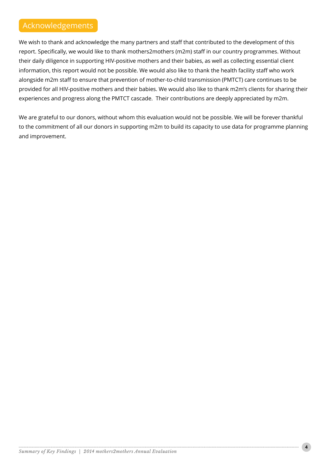# Acknowledgements

We wish to thank and acknowledge the many partners and staff that contributed to the development of this report. Specifically, we would like to thank mothers2mothers (m2m) staff in our country programmes. Without their daily diligence in supporting HIV-positive mothers and their babies, as well as collecting essential client information, this report would not be possible. We would also like to thank the health facility staff who work alongside m2m staff to ensure that prevention of mother-to-child transmission (PMTCT) care continues to be provided for all HIV-positive mothers and their babies. We would also like to thank m2m's clients for sharing their experiences and progress along the PMTCT cascade. Their contributions are deeply appreciated by m2m.

We are grateful to our donors, without whom this evaluation would not be possible. We will be forever thankful to the commitment of all our donors in supporting m2m to build its capacity to use data for programme planning and improvement.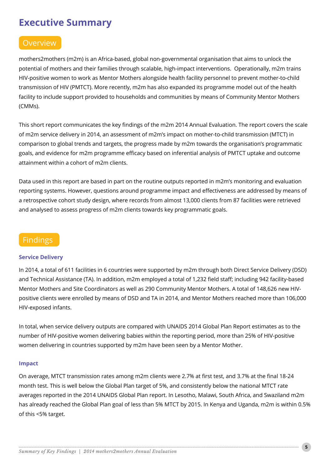# **Executive Summary**

# **Overview**

mothers2mothers (m2m) is an Africa-based, global non-governmental organisation that aims to unlock the potential of mothers and their families through scalable, high-impact interventions. Operationally, m2m trains HIV-positive women to work as Mentor Mothers alongside health facility personnel to prevent mother-to-child transmission of HIV (PMTCT). More recently, m2m has also expanded its programme model out of the health facility to include support provided to households and communities by means of Community Mentor Mothers (CMMs).

This short report communicates the key findings of the m2m 2014 Annual Evaluation. The report covers the scale of m2m service delivery in 2014, an assessment of m2m's impact on mother-to-child transmission (MTCT) in comparison to global trends and targets, the progress made by m2m towards the organisation's programmatic goals, and evidence for m2m programme efficacy based on inferential analysis of PMTCT uptake and outcome attainment within a cohort of m2m clients.

Data used in this report are based in part on the routine outputs reported in m2m's monitoring and evaluation reporting systems. However, questions around programme impact and effectiveness are addressed by means of a retrospective cohort study design, where records from almost 13,000 clients from 87 facilities were retrieved and analysed to assess progress of m2m clients towards key programmatic goals.

### Findings

#### **Service Delivery**

In 2014, a total of 611 facilities in 6 countries were supported by m2m through both Direct Service Delivery (DSD) and Technical Assistance (TA). In addition, m2m employed a total of 1,232 field staff; including 942 facility-based Mentor Mothers and Site Coordinators as well as 290 Community Mentor Mothers. A total of 148,626 new HIVpositive clients were enrolled by means of DSD and TA in 2014, and Mentor Mothers reached more than 106,000 HIV-exposed infants.

In total, when service delivery outputs are compared with UNAIDS 2014 Global Plan Report estimates as to the number of HIV-positive women delivering babies within the reporting period, more than 25% of HIV-positive women delivering in countries supported by m2m have been seen by a Mentor Mother.

#### **Impact**

On average, MTCT transmission rates among m2m clients were 2.7% at first test, and 3.7% at the final 18-24 month test. This is well below the Global Plan target of 5%, and consistently below the national MTCT rate averages reported in the 2014 UNAIDS Global Plan report. In Lesotho, Malawi, South Africa, and Swaziland m2m has already reached the Global Plan goal of less than 5% MTCT by 2015. In Kenya and Uganda, m2m is within 0.5% of this <5% target.

**5**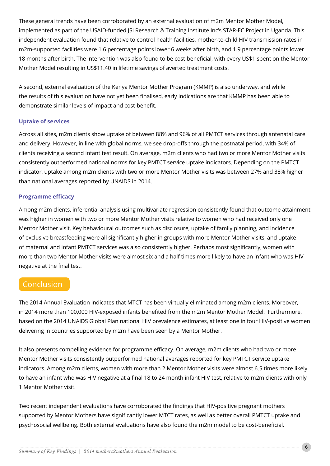These general trends have been corroborated by an external evaluation of m2m Mentor Mother Model, implemented as part of the USAID-funded JSI Research & Training Institute Inc's STAR-EC Project in Uganda. This independent evaluation found that relative to control health facilities, mother-to-child HIV transmission rates in m2m-supported facilities were 1.6 percentage points lower 6 weeks after birth, and 1.9 percentage points lower 18 months after birth. The intervention was also found to be cost-beneficial, with every US\$1 spent on the Mentor Mother Model resulting in US\$11.40 in lifetime savings of averted treatment costs.

A second, external evaluation of the Kenya Mentor Mother Program (KMMP) is also underway, and while the results of this evaluation have not yet been finalised, early indications are that KMMP has been able to demonstrate similar levels of impact and cost-benefit.

#### **Uptake of services**

Across all sites, m2m clients show uptake of between 88% and 96% of all PMTCT services through antenatal care and delivery. However, in line with global norms, we see drop-offs through the postnatal period, with 34% of clients receiving a second infant test result. On average, m2m clients who had two or more Mentor Mother visits consistently outperformed national norms for key PMTCT service uptake indicators. Depending on the PMTCT indicator, uptake among m2m clients with two or more Mentor Mother visits was between 27% and 38% higher than national averages reported by UNAIDS in 2014.

#### **Programme efficacy**

Among m2m clients, inferential analysis using multivariate regression consistently found that outcome attainment was higher in women with two or more Mentor Mother visits relative to women who had received only one Mentor Mother visit. Key behavioural outcomes such as disclosure, uptake of family planning, and incidence of exclusive breastfeeding were all significantly higher in groups with more Mentor Mother visits, and uptake of maternal and infant PMTCT services was also consistently higher. Perhaps most significantly, women with more than two Mentor Mother visits were almost six and a half times more likely to have an infant who was HIV negative at the final test.

### Conclusion

The 2014 Annual Evaluation indicates that MTCT has been virtually eliminated among m2m clients. Moreover, in 2014 more than 100,000 HIV-exposed infants benefited from the m2m Mentor Mother Model. Furthermore, based on the 2014 UNAIDS Global Plan national HIV prevalence estimates, at least one in four HIV-positive women delivering in countries supported by m2m have been seen by a Mentor Mother.

It also presents compelling evidence for programme efficacy. On average, m2m clients who had two or more Mentor Mother visits consistently outperformed national averages reported for key PMTCT service uptake indicators. Among m2m clients, women with more than 2 Mentor Mother visits were almost 6.5 times more likely to have an infant who was HIV negative at a final 18 to 24 month infant HIV test, relative to m2m clients with only 1 Mentor Mother visit.

Two recent independent evaluations have corroborated the findings that HIV-positive pregnant mothers supported by Mentor Mothers have significantly lower MTCT rates, as well as better overall PMTCT uptake and psychosocial wellbeing. Both external evaluations have also found the m2m model to be cost-beneficial.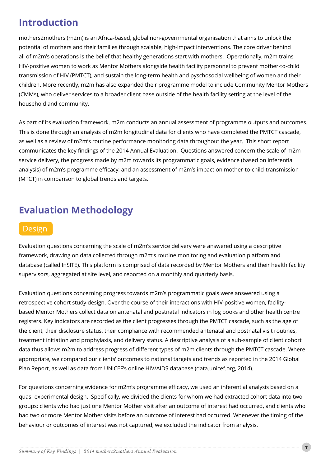# **Introduction**

mothers2mothers (m2m) is an Africa-based, global non-governmental organisation that aims to unlock the potential of mothers and their families through scalable, high-impact interventions. The core driver behind all of m2m's operations is the belief that healthy generations start with mothers. Operationally, m2m trains HIV-positive women to work as Mentor Mothers alongside health facility personnel to prevent mother-to-child transmission of HIV (PMTCT), and sustain the long-term health and pyschosocial wellbeing of women and their children. More recently, m2m has also expanded their programme model to include Community Mentor Mothers (CMMs), who deliver services to a broader client base outside of the health facility setting at the level of the household and community.

As part of its evaluation framework, m2m conducts an annual assessment of programme outputs and outcomes. This is done through an analysis of m2m longitudinal data for clients who have completed the PMTCT cascade, as well as a review of m2m's routine performance monitoring data throughout the year. This short report communicates the key findings of the 2014 Annual Evaluation. Questions answered concern the scale of m2m service delivery, the progress made by m2m towards its programmatic goals, evidence (based on inferential analysis) of m2m's programme efficacy, and an assessment of m2m's impact on mother-to-child-transmission (MTCT) in comparison to global trends and targets.

# **Evaluation Methodology**

### **Design**

Evaluation questions concerning the scale of m2m's service delivery were answered using a descriptive framework, drawing on data collected through m2m's routine monitoring and evaluation platform and database (called InSITE). This platform is comprised of data recorded by Mentor Mothers and their health facility supervisors, aggregated at site level, and reported on a monthly and quarterly basis.

Evaluation questions concerning progress towards m2m's programmatic goals were answered using a retrospective cohort study design. Over the course of their interactions with HIV-positive women, facilitybased Mentor Mothers collect data on antenatal and postnatal indicators in log books and other health centre registers. Key indicators are recorded as the client progresses through the PMTCT cascade, such as the age of the client, their disclosure status, their compliance with recommended antenatal and postnatal visit routines, treatment initiation and prophylaxis, and delivery status. A descriptive analysis of a sub-sample of client cohort data thus allows m2m to address progress of different types of m2m clients through the PMTCT cascade. Where appropriate, we compared our clients' outcomes to national targets and trends as reported in the 2014 Global Plan Report, as well as data from UNICEF's online HIV/AIDS database (data.unicef.org, 2014).

For questions concerning evidence for m2m's programme efficacy, we used an inferential analysis based on a quasi-experimental design. Specifically, we divided the clients for whom we had extracted cohort data into two groups: clients who had just one Mentor Mother visit after an outcome of interest had occurred, and clients who had two or more Mentor Mother visits before an outcome of interest had occurred. Whenever the timing of the behaviour or outcomes of interest was not captured, we excluded the indicator from analysis.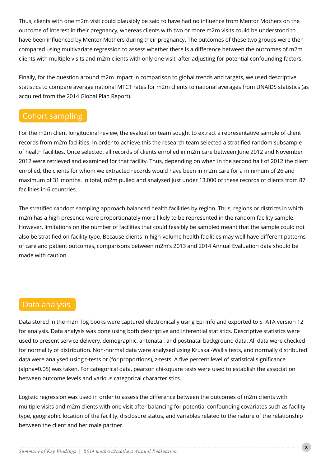Thus, clients with one m2m visit could plausibly be said to have had no influence from Mentor Mothers on the outcome of interest in their pregnancy, whereas clients with two or more m2m visits could be understood to have been influenced by Mentor Mothers during their pregnancy. The outcomes of these two groups were then compared using multivariate regression to assess whether there is a difference between the outcomes of m2m clients with multiple visits and m2m clients with only one visit, after adjusting for potential confounding factors.

Finally, for the question around m2m impact in comparison to global trends and targets, we used descriptive statistics to compare average national MTCT rates for m2m clients to national averages from UNAIDS statistics (as acquired from the 2014 Global Plan Report).

# Cohort sampling

For the m2m client longitudinal review, the evaluation team sought to extract a representative sample of client records from m2m facilities. In order to achieve this the research team selected a stratified random subsample of health facilities. Once selected, all records of clients enrolled in m2m care between June 2012 and November 2012 were retrieved and examined for that facility. Thus, depending on when in the second half of 2012 the client enrolled, the clients for whom we extracted records would have been in m2m care for a minimum of 26 and maximum of 31 months. In total, m2m pulled and analysed just under 13,000 of these records of clients from 87 facilities in 6 countries.

The stratified random sampling approach balanced health facilities by region. Thus, regions or districts in which m2m has a high presence were proportionately more likely to be represented in the random facility sample. However, limitations on the number of facilities that could feasibly be sampled meant that the sample could not also be stratified on facility type. Because clients in high-volume health facilities may well have different patterns of care and patient outcomes, comparisons between m2m's 2013 and 2014 Annual Evaluation data should be made with caution.

### Data analysis

Data stored in the m2m log books were captured electronically using Epi Info and exported to STATA version 12 for analysis. Data analysis was done using both descriptive and inferential statistics. Descriptive statistics were used to present service delivery, demographic, antenatal, and postnatal background data. All data were checked for normality of distribution. Non-normal data were analysed using Kruskal-Wallis tests, and normally distributed data were analysed using t-tests or (for proportions), z-tests. A five percent level of statistical significance (alpha=0.05) was taken. For categorical data, pearson chi-square tests were used to establish the association between outcome levels and various categorical characteristics.

Logistic regression was used in order to assess the difference between the outcomes of m2m clients with multiple visits and m2m clients with one visit after balancing for potential confounding covariates such as facility type, geographic location of the facility, disclosure status, and variables related to the nature of the relationship between the client and her male partner.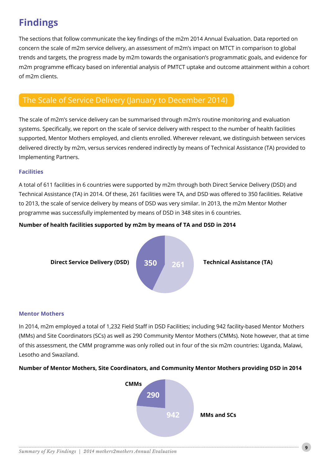# **Findings**

The sections that follow communicate the key findings of the m2m 2014 Annual Evaluation. Data reported on concern the scale of m2m service delivery, an assessment of m2m's impact on MTCT in comparison to global trends and targets, the progress made by m2m towards the organisation's programmatic goals, and evidence for m2m programme efficacy based on inferential analysis of PMTCT uptake and outcome attainment within a cohort of m2m clients.

# The Scale of Service Delivery (January to December 2014)

The scale of m2m's service delivery can be summarised through m2m's routine monitoring and evaluation systems. Specifically, we report on the scale of service delivery with respect to the number of health facilities supported, Mentor Mothers employed, and clients enrolled. Wherever relevant, we distinguish between services delivered directly by m2m, versus services rendered indirectly by means of Technical Assistance (TA) provided to Implementing Partners.

#### **Facilities**

A total of 611 facilities in 6 countries were supported by m2m through both Direct Service Delivery (DSD) and Technical Assistance (TA) in 2014. Of these, 261 facilities were TA, and DSD was offered to 350 facilities. Relative to 2013, the scale of service delivery by means of DSD was very similar. In 2013, the m2m Mentor Mother programme was successfully implemented by means of DSD in 348 sites in 6 countries.

#### **Number of health facilities supported by m2m by means of TA and DSD in 2014**



#### **Mentor Mothers**

In 2014, m2m employed a total of 1,232 Field Staff in DSD Facilities; including 942 facility-based Mentor Mothers (MMs) and Site Coordinators (SCs) as well as 290 Community Mentor Mothers (CMMs). Note however, that at time of this assessment, the CMM programme was only rolled out in four of the six m2m countries: Uganda, Malawi, Lesotho and Swaziland.

### **Number of Mentor Mothers, Site Coordinators, and Community Mentor Mothers providing DSD in 2014**



**9**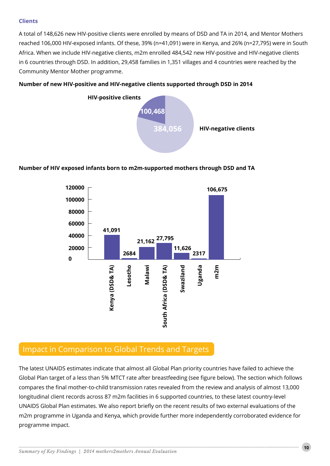#### **Clients**

A total of 148,626 new HIV-positive clients were enrolled by means of DSD and TA in 2014, and Mentor Mothers reached 106,000 HIV-exposed infants. Of these, 39% (n=41,091) were in Kenya, and 26% (n=27,795) were in South Africa. When we include HIV-negative clients, m2m enrolled 484,542 new HIV-positive and HIV-negative clients in 6 countries through DSD. In addition, 29,458 families in 1,351 villages and 4 countries were reached by the Community Mentor Mother programme.



#### **Number of new HIV-positive and HIV-negative clients supported through DSD in 2014**

#### **Number of HIV exposed infants born to m2m-supported mothers through DSD and TA**



## Impact in Comparison to Global Trends and Targets

The latest UNAIDS estimates indicate that almost all Global Plan priority countries have failed to achieve the Global Plan target of a less than 5% MTCT rate after breastfeeding (see figure below). The section which follows compares the final mother-to-child transmission rates revealed from the review and analysis of almost 13,000 longitudinal client records across 87 m2m facilities in 6 supported countries, to these latest country-level UNAIDS Global Plan estimates. We also report briefly on the recent results of two external evaluations of the m2m programme in Uganda and Kenya, which provide further more independently corroborated evidence for programme impact.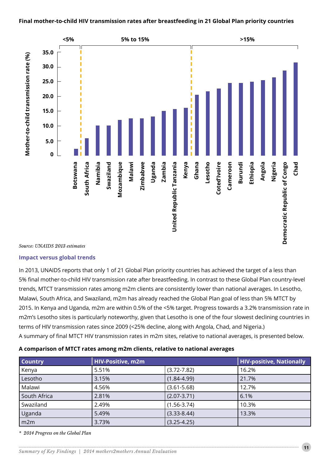#### **Final mother-to-child HIV transmission rates after breastfeeding in 21 Global Plan priority countries**



#### *Source: UNAIDS 2013 estimates*

#### **Impact versus global trends**

In 2013, UNAIDS reports that only 1 of 21 Global Plan priority countries has achieved the target of a less than 5% final mother-to-child HIV transmission rate after breastfeeding. In contrast to these Global Plan country-level trends, MTCT transmission rates among m2m clients are consistently lower than national averages. In Lesotho, Malawi, South Africa, and Swaziland, m2m has already reached the Global Plan goal of less than 5% MTCT by 2015. In Kenya and Uganda, m2m are within 0.5% of the <5% target. Progress towards a 3.2% transmission rate in m2m's Lesotho sites is particularly noteworthy, given that Lesotho is one of the four slowest declining countries in terms of HIV transmission rates since 2009 (<25% decline, along with Angola, Chad, and Nigeria.) A summary of final MTCT HIV transmission rates in m2m sites, relative to national averages, is presented below.

| <b>Country</b> | HIV-Positive, m2m |                 | <b>HIV-positive, Nationally</b> |  |
|----------------|-------------------|-----------------|---------------------------------|--|
| Kenya          | 5.51%             | $(3.72 - 7.82)$ | 16.2%                           |  |
| Lesotho        | 3.15%             | $(1.84 - 4.99)$ | 21.7%                           |  |
| Malawi         | 4.56%             | $(3.61 - 5.68)$ | 12.7%                           |  |
| South Africa   | 2.81%             | $(2.07 - 3.71)$ | 6.1%                            |  |
| Swaziland      | 2.49%             | $(1.56 - 3.74)$ | 10.3%                           |  |
| Uganda         | 5.49%             | $(3.33 - 8.44)$ | 13.3%                           |  |
| m2m            | 3.73%             | $(3.25 - 4.25)$ |                                 |  |

*\* 2014 Progress on the Global Plan*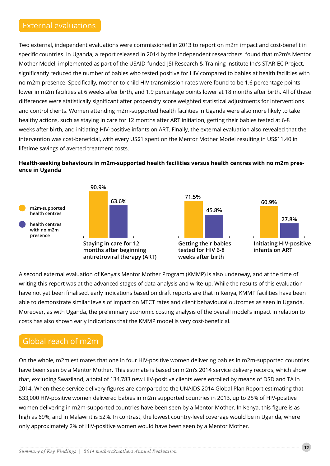# External evaluations

Two external, independent evaluations were commissioned in 2013 to report on m2m impact and cost-benefit in specific countries. In Uganda, a report released in 2014 by the independent researchers found that m2m's Mentor Mother Model, implemented as part of the USAID-funded JSI Research & Training Institute Inc's STAR-EC Project, significantly reduced the number of babies who tested positive for HIV compared to babies at health facilities with no m2m presence. Specifically, mother-to-child HIV transmission rates were found to be 1.6 percentage points lower in m2m facilities at 6 weeks after birth, and 1.9 percentage points lower at 18 months after birth. All of these differences were statistically significant after propensity score weighted statistical adjustments for interventions and control clients. Women attending m2m-supported health facilities in Uganda were also more likely to take healthy actions, such as staying in care for 12 months after ART initiation, getting their babies tested at 6-8 weeks after birth, and initiating HIV-positive infants on ART. Finally, the external evaluation also revealed that the intervention was cost-beneficial, with every US\$1 spent on the Mentor Mother Model resulting in US\$11.40 in lifetime savings of averted treatment costs.

#### **Health-seeking behaviours in m2m-supported health facilities versus health centres with no m2m presence in Uganda**



A second external evaluation of Kenya's Mentor Mother Program (KMMP) is also underway, and at the time of writing this report was at the advanced stages of data analysis and write-up. While the results of this evaluation have not yet been finalised, early indications based on draft reports are that in Kenya, KMMP facilities have been able to demonstrate similar levels of impact on MTCT rates and client behavioural outcomes as seen in Uganda. Moreover, as with Uganda, the preliminary economic costing analysis of the overall model's impact in relation to costs has also shown early indications that the KMMP model is very cost-beneficial.

# Global reach of m2m

On the whole, m2m estimates that one in four HIV-positive women delivering babies in m2m-supported countries have been seen by a Mentor Mother. This estimate is based on m2m's 2014 service delivery records, which show that, excluding Swaziland, a total of 134,783 new HIV-positive clients were enrolled by means of DSD and TA in 2014. When these service delivery figures are compared to the UNAIDS 2014 Global Plan Report estimating that 533,000 HIV-positive women delivered babies in m2m supported countries in 2013, up to 25% of HIV-positive women delivering in m2m-supported countries have been seen by a Mentor Mother. In Kenya, this figure is as high as 69%, and in Malawi it is 52%. In contrast, the lowest country-level coverage would be in Uganda, where only approximately 2% of HIV-positive women would have been seen by a Mentor Mother.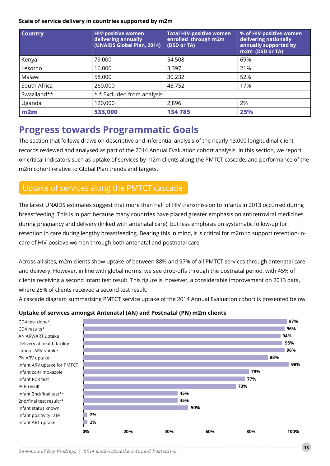#### **Scale of service delivery in countries supported by m2m**

| <b>Country</b> | <b>HIV-positive women</b><br>delivering annually<br>(UNAIDS Global Plan, 2014) | <b>Total HIV-positive women</b><br>enrolled through m2m<br>(DSD or TA) | % of HIV-positive women<br>delivering nationally<br>annually supported by<br>m2m (DSD or TA) |  |
|----------------|--------------------------------------------------------------------------------|------------------------------------------------------------------------|----------------------------------------------------------------------------------------------|--|
| Kenya          | 79,000                                                                         | 54,508                                                                 | 69%                                                                                          |  |
| Lesotho        | 16,000                                                                         | 3,397                                                                  | 21%                                                                                          |  |
| Malawi         | 58,000                                                                         | 30,232                                                                 | 52%                                                                                          |  |
| South Africa   | 260,000                                                                        | 43,752                                                                 | 17%                                                                                          |  |
| Swaziland**    | * * Excluded from analysis                                                     |                                                                        |                                                                                              |  |
| Uganda         | 120,000                                                                        | 2,896                                                                  | 2%                                                                                           |  |
| m2m            | 533,000                                                                        | 134 785                                                                | 25%                                                                                          |  |

# **Progress towards Programmatic Goals**

The section that follows draws on descriptive and inferential analysis of the nearly 13,000 longitudinal client records reviewed and analysed as part of the 2014 Annual Evaluation cohort analysis. In this section, we report on critical indicators such as uptake of services by m2m clients along the PMTCT cascade, and performance of the m2m cohort relative to Global Plan trends and targets.

# Uptake of services along the PMTCT cascade

The latest UNAIDS estimates suggest that more than half of HIV transmission to infants in 2013 occurred during breastfeeding. This is in part because many countries have placed greater emphasis on antiretroviral medicines during pregnancy and delivery (linked with antenatal care), but less emphasis on systematic follow-up for retention in care during lengthy breastfeeding. Bearing this in mind, it is critical for m2m to support retention-incare of HIV-positive women through both antenatal and postnatal care.

Across all sites, m2m clients show uptake of between 88% and 97% of all PMTCT services through antenatal care and delivery. However, in line with global norms, we see drop-offs through the postnatal period, with 45% of clients receiving a second infant test result. This figure is, however, a considerable improvement on 2013 data, where 28% of clients received a second test result.

A cascade diagram summarising PMTCT service uptake of the 2014 Annual Evaluation cohort is presented below.

### **Uptake of services amongst Antenatal (AN) and Postnatal (PN) m2m clients**

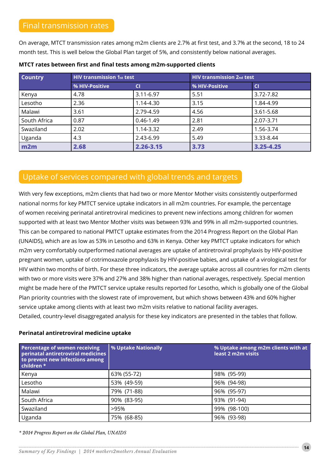### Final transmission rates

On average, MTCT transmission rates among m2m clients are 2.7% at first test, and 3.7% at the second, 18 to 24 month test. This is well below the Global Plan target of 5%, and consistently below national averages.

| <b>Country</b> | <b>HIV transmission 1st test</b> |               | <b>HIV transmission 2nd test</b> |           |  |
|----------------|----------------------------------|---------------|----------------------------------|-----------|--|
|                | % HIV-Positive                   | <b>CI</b>     | % HIV-Positive                   | <b>CI</b> |  |
| Kenya          | 4.78                             | 3.11-6.97     | 5.51                             | 3.72-7.82 |  |
| Lesotho        | 2.36                             | 1.14-4.30     | 3.15                             | 1.84-4.99 |  |
| Malawi         | 3.61                             | 2.79-4.59     | 4.56                             | 3.61-5.68 |  |
| South Africa   | 0.87                             | $0.46 - 1.49$ | 2.81                             | 2.07-3.71 |  |
| Swaziland      | 2.02                             | 1.14-3.32     | 2.49                             | 1.56-3.74 |  |
| Uganda         | 4.3                              | 2.43-6.99     | 5.49                             | 3.33-8.44 |  |
| m2m            | 2.68                             | $2.26 - 3.15$ | 3.73                             | 3.25-4.25 |  |

#### **MTCT rates between first and final tests among m2m-supported clients**

# Uptake of services compared with global trends and targets

With very few exceptions, m2m clients that had two or more Mentor Mother visits consistently outperformed national norms for key PMTCT service uptake indicators in all m2m countries. For example, the percentage of women receiving perinatal antiretroviral medicines to prevent new infections among children for women supported with at least two Mentor Mother visits was between 93% and 99% in all m2m-supported countries. This can be compared to national PMTCT uptake estimates from the 2014 Progress Report on the Global Plan (UNAIDS), which are as low as 53% in Lesotho and 63% in Kenya. Other key PMTCT uptake indicators for which m2m very comfortably outperformed national averages are uptake of antiretroviral prophylaxis by HIV-positive pregnant women, uptake of cotrimoxazole prophylaxis by HIV-positive babies, and uptake of a virological test for HIV within two months of birth. For these three indicators, the average uptake across all countries for m2m clients with two or more visits were 37% and 27% and 38% higher than national averages, respectively. Special mention might be made here of the PMTCT service uptake results reported for Lesotho, which is globally one of the Global Plan priority countries with the slowest rate of improvement, but which shows between 43% and 60% higher service uptake among clients with at least two m2m visits relative to national facility averages. Detailed, country-level disaggregated analysis for these key indicators are presented in the tables that follow.

#### **Perinatal antiretroviral medicine uptake**

| Percentage of women receiving<br>perinatal antiretroviral medicines<br>to prevent new infections among<br>children * | % Uptake Nationally | % Uptake among m2m clients with at<br>least 2 m2m visits |
|----------------------------------------------------------------------------------------------------------------------|---------------------|----------------------------------------------------------|
| Kenya                                                                                                                | 63% (55-72)         | 98% (95-99)                                              |
| Lesotho                                                                                                              | 53% (49-59)         | 96% (94-98)                                              |
| Malawi                                                                                                               | 79% (71-88)         | 96% (95-97)                                              |
| South Africa                                                                                                         | 90% (83-95)         | 93% (91-94)                                              |
| Swaziland                                                                                                            | >95%                | 99% (98-100)                                             |
| Uganda                                                                                                               | 75% (68-85)         | 96% (93-98)                                              |

*\* 2014 Progress Report on the Global Plan, UNAIDS*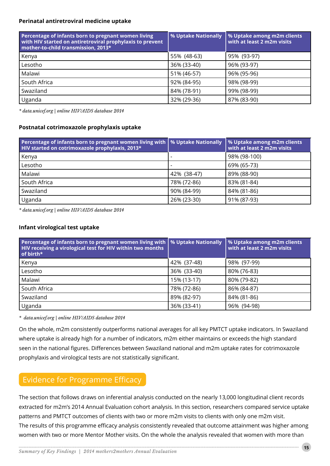#### **Perinatal antiretroviral medicine uptake**

| Percentage of infants born to pregnant women living<br>with HIV started on antiretroviral prophylaxis to prevent<br>mother-to-child transmission, 2013* | % Uptake Nationally | % Uptake among m2m clients<br>with at least 2 m2m visits |  |
|---------------------------------------------------------------------------------------------------------------------------------------------------------|---------------------|----------------------------------------------------------|--|
| Kenya                                                                                                                                                   | 55% (48-63)         | 95% (93-97)                                              |  |
| Lesotho                                                                                                                                                 | 36% (33-40)         | 96% (93-97)                                              |  |
| Malawi                                                                                                                                                  | 51% (46-57)         | 96% (95-96)                                              |  |
| South Africa                                                                                                                                            | 92% (84-95)         | 98% (98-99)                                              |  |
| Swaziland                                                                                                                                               | 84% (78-91)         | 99% (98-99)                                              |  |
| Uganda                                                                                                                                                  | 32% (29-36)         | 87% (83-90)                                              |  |

*\* data.unicef.org | online HIV/AIDS database 2014*

#### **Postnatal cotrimoxazole prophylaxis uptake**

| Percentage of infants born to pregnant women living with  <br>HIV started on cotrimoxazole prophylaxis, 2013* | % Uptake Nationally | <b>W</b> Uptake among m2m clients<br>with at least 2 m2m visits |
|---------------------------------------------------------------------------------------------------------------|---------------------|-----------------------------------------------------------------|
| Kenya                                                                                                         |                     | 98% (98-100)                                                    |
| Lesotho                                                                                                       |                     | 69% (65-73)                                                     |
| Malawi                                                                                                        | 42% (38-47)         | 89% (88-90)                                                     |
| South Africa                                                                                                  | 78% (72-86)         | 83% (81-84)                                                     |
| Swaziland                                                                                                     | 90% (84-99)         | 84% (81-86)                                                     |
| Uganda                                                                                                        | 26% (23-30)         | 91% (87-93)                                                     |

*\* data.unicef.org | online HIV/AIDS database 2014*

#### **Infant virological test uptake**

| Percentage of infants born to pregnant women living with<br>HIV receiving a virological test for HIV within two months<br>of birth* | % Uptake Nationally | % Uptake among m2m clients<br>with at least 2 m2m visits |  |
|-------------------------------------------------------------------------------------------------------------------------------------|---------------------|----------------------------------------------------------|--|
| Kenya                                                                                                                               | 42% (37-48)         | 98% (97-99)                                              |  |
| Lesotho                                                                                                                             | 36% (33-40)         | 80% (76-83)                                              |  |
| Malawi                                                                                                                              | 15% (13-17)         | 80% (79-82)                                              |  |
| South Africa                                                                                                                        | 78% (72-86)         | 86% (84-87)                                              |  |
| Swaziland                                                                                                                           | 89% (82-97)         | 84% (81-86)                                              |  |
| Uganda                                                                                                                              | 36% (33-41)         | 96% (94-98)                                              |  |

*\* data.unicef.org | online HIV/AIDS database 2014*

On the whole, m2m consistently outperforms national averages for all key PMTCT uptake indicators. In Swaziland where uptake is already high for a number of indicators, m2m either maintains or exceeds the high standard seen in the national figures. Differences between Swaziland national and m2m uptake rates for cotrimoxazole prophylaxis and virological tests are not statistically significant.

# Evidence for Programme Efficacy

The section that follows draws on inferential analysis conducted on the nearly 13,000 longitudinal client records extracted for m2m's 2014 Annual Evaluation cohort analysis. In this section, researchers compared service uptake patterns and PMTCT outcomes of clients with two or more m2m visits to clients with only one m2m visit. The results of this programme efficacy analysis consistently revealed that outcome attainment was higher among women with two or more Mentor Mother visits. On the whole the analysis revealed that women with more than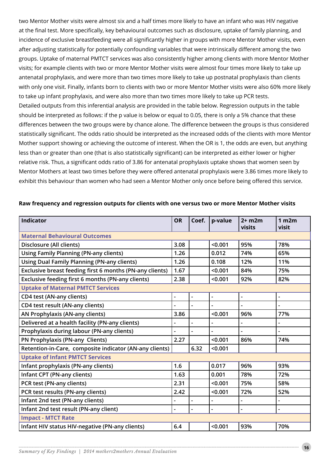two Mentor Mother visits were almost six and a half times more likely to have an infant who was HIV negative at the final test. More specifically, key behavioural outcomes such as disclosure, uptake of family planning, and incidence of exclusive breastfeeding were all significantly higher in groups with more Mentor Mother visits, even after adjusting statistically for potentially confounding variables that were intrinsically different among the two groups. Uptake of maternal PMTCT services was also consistently higher among clients with more Mentor Mother visits; for example clients with two or more Mentor Mother visits were almost four times more likely to take up antenatal prophylaxis, and were more than two times more likely to take up postnatal prophylaxis than clients with only one visit. Finally, infants born to clients with two or more Mentor Mother visits were also 60% more likely to take up infant prophylaxis, and were also more than two times more likely to take up PCR tests. Detailed outputs from this inferential analysis are provided in the table below. Regression outputs in the table should be interpreted as follows: if the p value is below or equal to 0.05, there is only a 5% chance that these differences between the two groups were by chance alone. The difference between the groups is thus considered statistically significant. The odds ratio should be interpreted as the increased odds of the clients with more Mentor Mother support showing or achieving the outcome of interest. When the OR is 1, the odds are even, but anything less than or greater than one (that is also statistically significant) can be interpreted as either lower or higher relative risk. Thus, a significant odds ratio of 3.86 for antenatal prophylaxis uptake shows that women seen by Mentor Mothers at least two times before they were offered antenatal prophylaxis were 3.86 times more likely to exhibit this behaviour than women who had seen a Mentor Mother only once before being offered this service.

| <b>Indicator</b>                                         | <b>OR</b>                | Coef.          | p-value        | $2+$ m2m<br>visits       | 1 <sub>m2m</sub><br>visit |
|----------------------------------------------------------|--------------------------|----------------|----------------|--------------------------|---------------------------|
| <b>Maternal Behavioural Outcomes</b>                     |                          |                |                |                          |                           |
| Disclosure (All clients)                                 | 3.08                     |                | < 0.001        | 95%                      | 78%                       |
| <b>Using Family Planning (PN-any clients)</b>            | 1.26                     |                | 0.012          | 74%                      | 65%                       |
| <b>Using Dual Family Planning (PN-any clients)</b>       | 1.26                     |                | 0.108          | 12%                      | 11%                       |
| Exclusive breast feeding first 6 months (PN-any clients) | 1.67                     |                | < 0.001        | 84%                      | 75%                       |
| Exclusive feeding first 6 months (PN-any clients)        | 2.38                     |                | < 0.001        | 92%                      | 82%                       |
| <b>Uptake of Maternal PMTCT Services</b>                 |                          |                |                |                          |                           |
| CD4 test (AN-any clients)                                | $\overline{\phantom{0}}$ | $\overline{a}$ | $\overline{a}$ | $\overline{\phantom{0}}$ | $\overline{\phantom{0}}$  |
| CD4 test result (AN-any clients)                         |                          |                |                |                          |                           |
| AN Prophylaxis (AN-any clients)                          | 3.86                     |                | < 0.001        | 96%                      | 77%                       |
| Delivered at a health facility (PN-any clients)          |                          |                |                |                          |                           |
| Prophylaxis during labour (PN-any clients)               |                          |                |                |                          |                           |
| PN Prophylaxis (PN-any Clients)                          |                          |                | < 0.001        | 86%                      | 74%                       |
| Retention-in-Care, composite indicator (AN-any clients)  |                          | 6.32           | < 0.001        |                          |                           |
| <b>Uptake of Infant PMTCT Services</b>                   |                          |                |                |                          |                           |
| Infant prophylaxis (PN-any clients)                      | 1.6                      |                | 0.017          | 96%                      | 93%                       |
| Infant CPT (PN-any clients)                              | 1.63                     |                | 0.001          | 78%                      | 72%                       |
| PCR test (PN-any clients)                                | 2.31                     |                | < 0.001        | 75%                      | 58%                       |
| PCR test results (PN-any clients)                        | 2.42                     |                | < 0.001        | 72%                      | 52%                       |
| Infant 2nd test (PN-any clients)                         |                          |                |                | $\overline{a}$           |                           |
| Infant 2nd test result (PN-any client)                   | $\overline{\phantom{0}}$ |                | $\overline{a}$ | $\blacksquare$           |                           |
| <b>Impact - MTCT Rate</b>                                |                          |                |                |                          |                           |
| Infant HIV status HIV-negative (PN-any clients)          | 6.4                      |                | < 0.001        | 93%                      | 70%                       |

#### **Raw frequency and regression outputs for clients with one versus two or more Mentor Mother visits**

**16**